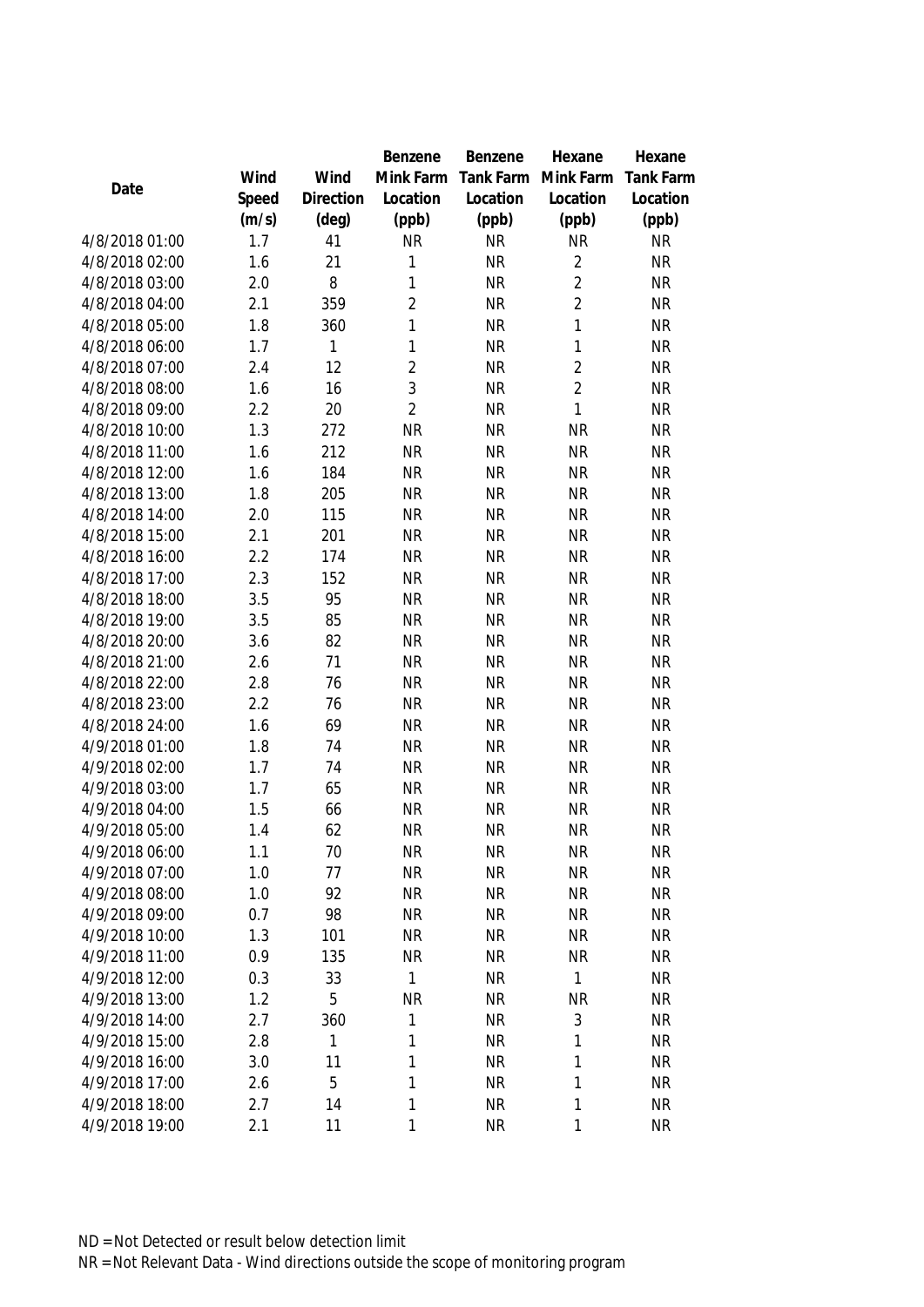|                                  |            |              | Benzene        | Benzene                | Hexane         | Hexane                 |
|----------------------------------|------------|--------------|----------------|------------------------|----------------|------------------------|
|                                  | Wind       | Wind         | Mink Farm      | Tank Farm              | Mink Farm      | <b>Tank Farm</b>       |
| Date                             | Speed      | Direction    | Location       | Location               | Location       | Location               |
|                                  | (m/s)      | (deg)        | (ppb)          | (ppb)                  | (ppb)          | (ppb)                  |
| 4/8/2018 01:00                   | 1.7        | 41           | <b>NR</b>      | <b>NR</b>              | <b>NR</b>      | <b>NR</b>              |
| 4/8/2018 02:00                   | 1.6        | 21           | 1              | <b>NR</b>              | $\overline{2}$ | <b>NR</b>              |
| 4/8/2018 03:00                   | 2.0        | 8            | 1              | <b>NR</b>              | $\overline{2}$ | <b>NR</b>              |
| 4/8/2018 04:00                   | 2.1        | 359          | $\overline{2}$ | <b>NR</b>              | $\overline{2}$ | <b>NR</b>              |
| 4/8/2018 05:00                   | 1.8        | 360          | 1              | <b>NR</b>              | 1              | <b>NR</b>              |
| 4/8/2018 06:00                   | 1.7        | 1            | 1              | <b>NR</b>              | $\mathbf{1}$   | <b>NR</b>              |
| 4/8/2018 07:00                   | 2.4        | 12           | $\overline{2}$ | <b>NR</b>              | $\overline{2}$ | <b>NR</b>              |
| 4/8/2018 08:00                   | 1.6        | 16           | 3              | <b>NR</b>              | $\overline{2}$ | <b>NR</b>              |
| 4/8/2018 09:00                   | 2.2        | 20           | $\overline{2}$ | <b>NR</b>              | 1              | <b>NR</b>              |
| 4/8/2018 10:00                   | 1.3        | 272          | <b>NR</b>      | <b>NR</b>              | <b>NR</b>      | <b>NR</b>              |
| 4/8/2018 11:00                   | 1.6        | 212          | <b>NR</b>      | <b>NR</b>              | <b>NR</b>      | <b>NR</b>              |
| 4/8/2018 12:00                   | 1.6        | 184          | <b>NR</b>      | <b>NR</b>              | <b>NR</b>      | <b>NR</b>              |
| 4/8/2018 13:00                   | 1.8        | 205          | <b>NR</b>      | <b>NR</b>              | <b>NR</b>      | <b>NR</b>              |
| 4/8/2018 14:00                   | 2.0        | 115          | <b>NR</b>      | <b>NR</b>              | <b>NR</b>      | <b>NR</b>              |
| 4/8/2018 15:00                   | 2.1        | 201          | <b>NR</b>      | <b>NR</b>              | <b>NR</b>      | <b>NR</b>              |
| 4/8/2018 16:00                   | 2.2        | 174          | <b>NR</b>      | <b>NR</b>              | <b>NR</b>      | <b>NR</b>              |
| 4/8/2018 17:00                   | 2.3        | 152          | <b>NR</b>      | <b>NR</b>              | <b>NR</b>      | <b>NR</b>              |
| 4/8/2018 18:00                   | 3.5        | 95           | <b>NR</b>      | <b>NR</b>              | <b>NR</b>      | <b>NR</b>              |
| 4/8/2018 19:00                   | 3.5        | 85           | <b>NR</b>      | <b>NR</b>              | <b>NR</b>      | <b>NR</b>              |
| 4/8/2018 20:00                   | 3.6        | 82           | <b>NR</b>      | <b>NR</b>              | <b>NR</b>      | <b>NR</b>              |
| 4/8/2018 21:00                   | 2.6        | 71           | <b>NR</b>      | <b>NR</b>              | <b>NR</b>      | <b>NR</b>              |
| 4/8/2018 22:00                   | 2.8        | 76           | <b>NR</b>      | <b>NR</b>              | <b>NR</b>      | <b>NR</b>              |
| 4/8/2018 23:00                   | 2.2        | 76           | <b>NR</b>      | <b>NR</b>              | <b>NR</b>      | <b>NR</b>              |
| 4/8/2018 24:00                   | 1.6        | 69           | <b>NR</b>      | <b>NR</b>              | <b>NR</b>      | <b>NR</b>              |
| 4/9/2018 01:00                   | 1.8        | 74           | <b>NR</b>      | <b>NR</b>              | <b>NR</b>      | <b>NR</b>              |
| 4/9/2018 02:00                   | 1.7        | 74           | <b>NR</b>      | <b>NR</b>              | <b>NR</b>      | <b>NR</b>              |
| 4/9/2018 03:00                   | 1.7        | 65           | <b>NR</b>      | <b>NR</b>              | <b>NR</b>      | <b>NR</b>              |
| 4/9/2018 04:00                   | 1.5        | 66           | <b>NR</b>      | <b>NR</b>              | <b>NR</b>      | <b>NR</b>              |
| 4/9/2018 05:00                   | 1.4        | 62           | <b>NR</b>      | <b>NR</b>              | <b>NR</b>      | <b>NR</b>              |
| 4/9/2018 06:00                   | 1.1        | 70           | <b>NR</b>      | <b>NR</b>              | <b>NR</b>      | <b>NR</b>              |
| 4/9/2018 07:00                   | 1.0        | 77           | <b>NR</b>      | <b>NR</b>              | <b>NR</b>      | <b>NR</b>              |
| 4/9/2018 08:00                   | 1.0        | 92           | <b>NR</b>      | <b>NR</b>              | <b>NR</b>      | <b>NR</b>              |
| 4/9/2018 09:00                   | 0.7        | 98           | <b>NR</b>      | <b>NR</b>              | <b>NR</b>      | <b>NR</b>              |
| 4/9/2018 10:00                   | 1.3        | 101          | <b>NR</b>      | <b>NR</b>              | <b>NR</b>      | <b>NR</b>              |
| 4/9/2018 11:00                   | 0.9        | 135          | NR             | <b>NR</b>              | <b>NR</b>      | <b>NR</b>              |
| 4/9/2018 12:00                   | 0.3        | 33           | 1              | <b>NR</b>              | 1              | <b>NR</b>              |
| 4/9/2018 13:00                   | 1.2        | 5            | <b>NR</b>      | <b>NR</b>              | <b>NR</b>      | <b>NR</b>              |
| 4/9/2018 14:00                   | 2.7        | 360          | 1              | <b>NR</b>              | 3              | <b>NR</b>              |
| 4/9/2018 15:00                   | 2.8        | $\mathbf{1}$ | 1              | <b>NR</b>              | 1              | <b>NR</b>              |
| 4/9/2018 16:00<br>4/9/2018 17:00 | 3.0        | 11<br>5      | 1<br>1         | <b>NR</b><br><b>NR</b> | 1<br>1         | <b>NR</b><br><b>NR</b> |
| 4/9/2018 18:00                   | 2.6<br>2.7 | 14           | 1              | <b>NR</b>              | 1              | <b>NR</b>              |
| 4/9/2018 19:00                   | 2.1        | 11           | 1              | <b>NR</b>              | 1              | <b>NR</b>              |
|                                  |            |              |                |                        |                |                        |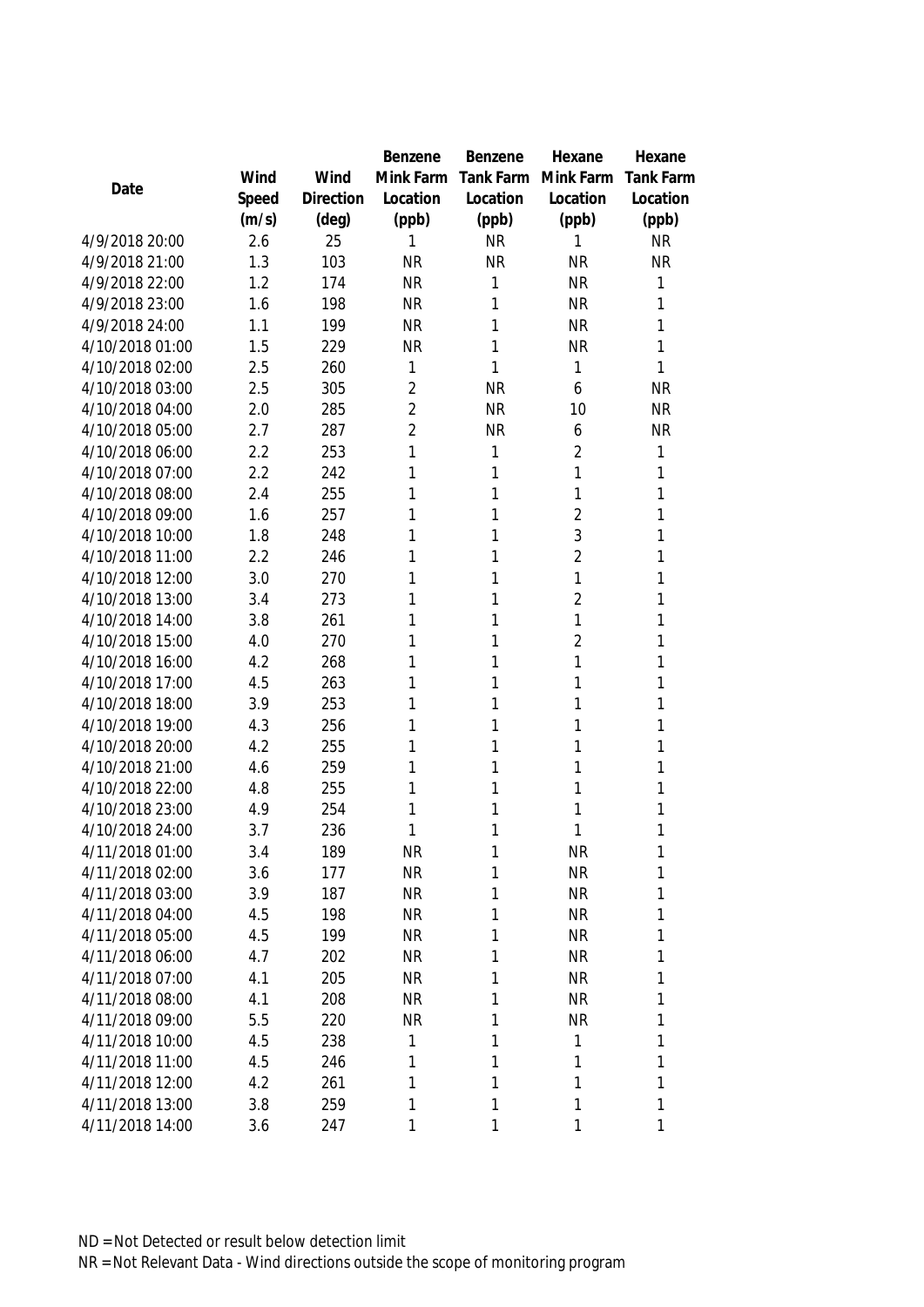|                                    |            |            | Benzene        | Benzene          | Hexane         | Hexane           |
|------------------------------------|------------|------------|----------------|------------------|----------------|------------------|
|                                    | Wind       | Wind       | Mink Farm      | <b>Tank Farm</b> | Mink Farm      | <b>Tank Farm</b> |
| Date                               | Speed      | Direction  | Location       | Location         | Location       | Location         |
|                                    | (m/s)      | (deg)      | (ppb)          | (ppb)            | (ppb)          | (ppb)            |
| 4/9/2018 20:00                     | 2.6        | 25         | 1              | <b>NR</b>        | 1              | <b>NR</b>        |
| 4/9/2018 21:00                     | 1.3        | 103        | <b>NR</b>      | <b>NR</b>        | <b>NR</b>      | <b>NR</b>        |
| 4/9/2018 22:00                     | 1.2        | 174        | <b>NR</b>      | 1                | <b>NR</b>      | 1                |
| 4/9/2018 23:00                     | 1.6        | 198        | <b>NR</b>      | 1                | <b>NR</b>      | 1                |
| 4/9/2018 24:00                     | 1.1        | 199        | <b>NR</b>      | 1                | <b>NR</b>      | 1                |
| 4/10/2018 01:00                    | 1.5        | 229        | <b>NR</b>      | 1                | <b>NR</b>      | 1                |
| 4/10/2018 02:00                    | 2.5        | 260        | 1              | 1                | 1              | 1                |
| 4/10/2018 03:00                    | 2.5        | 305        | $\overline{2}$ | <b>NR</b>        | 6              | <b>NR</b>        |
| 4/10/2018 04:00                    | 2.0        | 285        | $\overline{2}$ | <b>NR</b>        | 10             | <b>NR</b>        |
| 4/10/2018 05:00                    | 2.7        | 287        | $\overline{2}$ | <b>NR</b>        | 6              | <b>NR</b>        |
| 4/10/2018 06:00                    | 2.2        | 253        | 1              | 1                | $\overline{2}$ | $\mathbf{1}$     |
| 4/10/2018 07:00                    | 2.2        | 242        | 1              | 1                | 1              | 1                |
| 4/10/2018 08:00                    | 2.4        | 255        | 1              | 1                | 1              | 1                |
| 4/10/2018 09:00                    | 1.6        | 257        | 1              | 1                | $\overline{2}$ | 1                |
| 4/10/2018 10:00                    | 1.8        | 248        | 1              | 1                | 3              | 1                |
| 4/10/2018 11:00                    | 2.2        | 246        | 1              | 1                | $\overline{2}$ | 1                |
| 4/10/2018 12:00                    | 3.0        | 270        | 1              | 1                | 1              | 1                |
| 4/10/2018 13:00                    | 3.4        | 273        | 1              | 1                | $\overline{2}$ | 1                |
| 4/10/2018 14:00                    | 3.8        | 261        | 1              | 1                | 1              | 1                |
| 4/10/2018 15:00                    | 4.0        | 270        | 1              | 1                | $\overline{2}$ | 1                |
| 4/10/2018 16:00                    | 4.2        | 268        | 1              | 1                | 1              | 1                |
| 4/10/2018 17:00                    | 4.5        | 263        | 1              | 1                | 1              | 1                |
| 4/10/2018 18:00                    | 3.9        | 253        | 1              | 1                | 1              | 1                |
| 4/10/2018 19:00                    | 4.3        | 256        | 1              | 1                | 1              | 1                |
| 4/10/2018 20:00                    | 4.2        | 255        | 1              | 1                | 1              | 1                |
| 4/10/2018 21:00                    | 4.6        | 259        | 1              | 1                | 1              | 1                |
| 4/10/2018 22:00                    | 4.8        | 255        | 1              | 1                | 1              | 1                |
| 4/10/2018 23:00                    | 4.9        | 254        | 1              | 1                | 1              | 1                |
| 4/10/2018 24:00                    | 3.7        | 236        | 1              | 1                | 1              | 1                |
| 4/11/2018 01:00                    | 3.4        | 189        | <b>NR</b>      | 1                | <b>NR</b>      | 1                |
| 4/11/2018 02:00                    | 3.6        | 177        | <b>NR</b>      | 1                | <b>NR</b>      | 1                |
| 4/11/2018 03:00                    | 3.9        | 187        | <b>NR</b>      | 1                | <b>NR</b>      | 1                |
| 4/11/2018 04:00                    | 4.5        | 198        | <b>NR</b>      | 1                | <b>NR</b>      | 1                |
| 4/11/2018 05:00                    | 4.5        | 199        | <b>NR</b>      | 1                | <b>NR</b>      | 1                |
| 4/11/2018 06:00                    | 4.7        | 202        | <b>NR</b>      | 1                | <b>NR</b>      | 1                |
| 4/11/2018 07:00                    | 4.1        | 205        | <b>NR</b>      | 1                | <b>NR</b>      | 1                |
| 4/11/2018 08:00                    | 4.1        | 208        | <b>NR</b>      | 1                | <b>NR</b>      | 1                |
| 4/11/2018 09:00                    | 5.5        | 220        | <b>NR</b>      | 1                | <b>NR</b>      | 1                |
| 4/11/2018 10:00<br>4/11/2018 11:00 | 4.5        | 238        | 1              | 1                | 1              | 1                |
| 4/11/2018 12:00                    | 4.5<br>4.2 | 246<br>261 | 1<br>1         | 1<br>1           | 1<br>1         | 1<br>1           |
| 4/11/2018 13:00                    | 3.8        | 259        | 1              | 1                | 1              | $\mathbf{1}$     |
| 4/11/2018 14:00                    | 3.6        | 247        | 1              | 1                | 1              | $\mathbf{1}$     |
|                                    |            |            |                |                  |                |                  |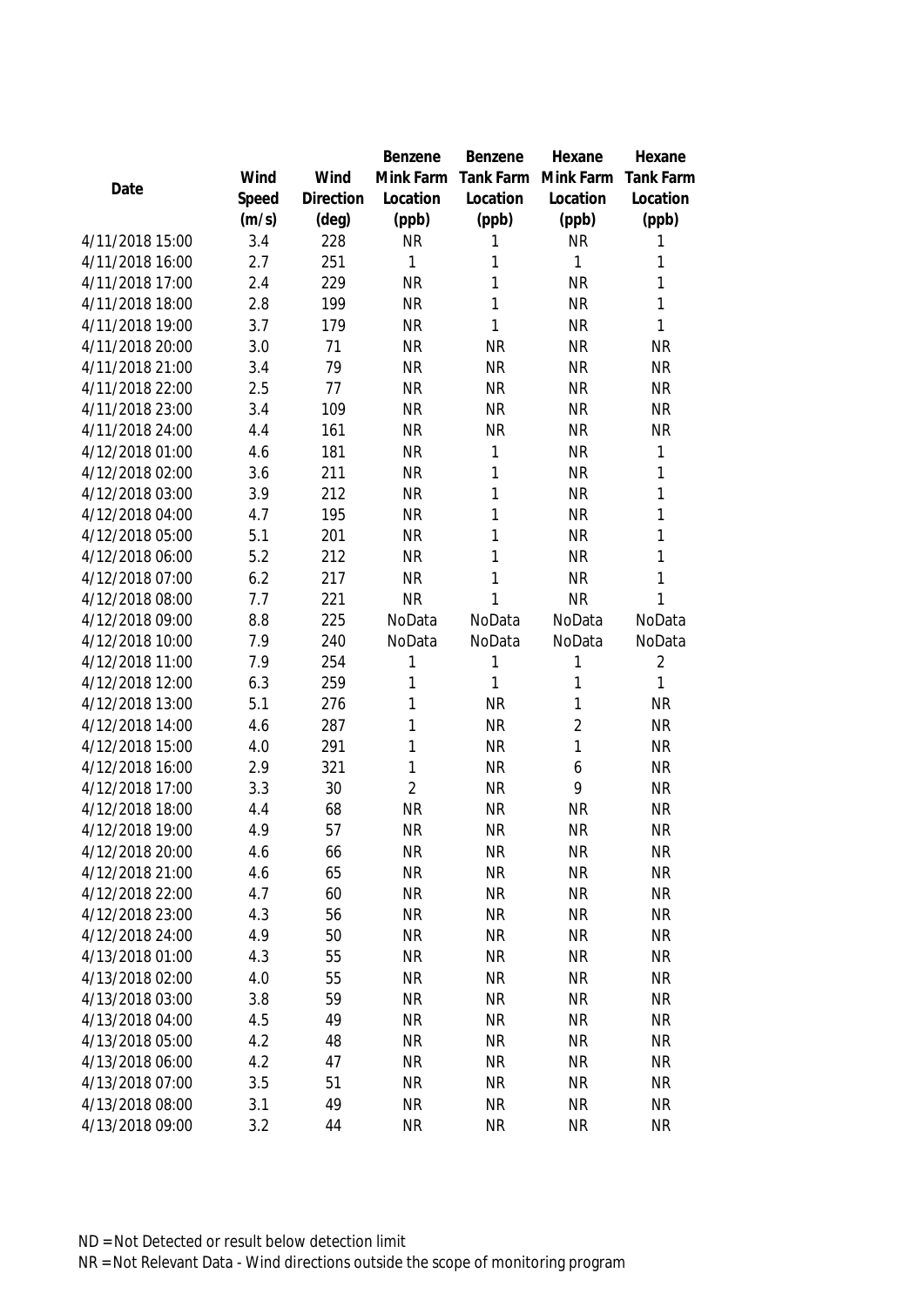|                 |       |           | Benzene        | Benzene   | Hexane         | Hexane         |
|-----------------|-------|-----------|----------------|-----------|----------------|----------------|
|                 | Wind  | Wind      | Mink Farm      | Tank Farm | Mink Farm      | Tank Farm      |
| Date            | Speed | Direction | Location       | Location  | Location       | Location       |
|                 | (m/s) | (deg)     | (ppb)          | (ppb)     | (ppb)          | (ppb)          |
| 4/11/2018 15:00 | 3.4   | 228       | <b>NR</b>      | 1         | <b>NR</b>      | 1              |
| 4/11/2018 16:00 | 2.7   | 251       | 1              | 1         | 1              | 1              |
| 4/11/2018 17:00 | 2.4   | 229       | <b>NR</b>      | 1         | <b>NR</b>      | $\mathbf{1}$   |
| 4/11/2018 18:00 | 2.8   | 199       | <b>NR</b>      | 1         | <b>NR</b>      | $\mathbf{1}$   |
| 4/11/2018 19:00 | 3.7   | 179       | <b>NR</b>      | 1         | <b>NR</b>      | $\mathbf{1}$   |
| 4/11/2018 20:00 | 3.0   | 71        | <b>NR</b>      | <b>NR</b> | <b>NR</b>      | <b>NR</b>      |
| 4/11/2018 21:00 | 3.4   | 79        | <b>NR</b>      | <b>NR</b> | <b>NR</b>      | <b>NR</b>      |
| 4/11/2018 22:00 | 2.5   | 77        | <b>NR</b>      | <b>NR</b> | <b>NR</b>      | <b>NR</b>      |
| 4/11/2018 23:00 | 3.4   | 109       | <b>NR</b>      | <b>NR</b> | <b>NR</b>      | <b>NR</b>      |
| 4/11/2018 24:00 | 4.4   | 161       | <b>NR</b>      | <b>NR</b> | <b>NR</b>      | <b>NR</b>      |
| 4/12/2018 01:00 | 4.6   | 181       | <b>NR</b>      | 1         | <b>NR</b>      | 1              |
| 4/12/2018 02:00 | 3.6   | 211       | <b>NR</b>      | 1         | <b>NR</b>      | $\mathbf{1}$   |
| 4/12/2018 03:00 | 3.9   | 212       | <b>NR</b>      | 1         | <b>NR</b>      | $\mathbf{1}$   |
| 4/12/2018 04:00 | 4.7   | 195       | <b>NR</b>      | 1         | <b>NR</b>      | $\mathbf{1}$   |
| 4/12/2018 05:00 | 5.1   | 201       | <b>NR</b>      | 1         | <b>NR</b>      | $\mathbf{1}$   |
| 4/12/2018 06:00 | 5.2   | 212       | <b>NR</b>      | 1         | <b>NR</b>      | $\mathbf{1}$   |
| 4/12/2018 07:00 | 6.2   | 217       | <b>NR</b>      | 1         | <b>NR</b>      | $\mathbf{1}$   |
| 4/12/2018 08:00 | 7.7   | 221       | <b>NR</b>      | 1         | <b>NR</b>      | 1              |
| 4/12/2018 09:00 | 8.8   | 225       | NoData         | NoData    | NoData         | NoData         |
| 4/12/2018 10:00 | 7.9   | 240       | NoData         | NoData    | NoData         | NoData         |
| 4/12/2018 11:00 | 7.9   | 254       | $\mathbf{1}$   | 1         | 1              | $\overline{2}$ |
| 4/12/2018 12:00 | 6.3   | 259       | 1              | 1         | 1              | 1              |
| 4/12/2018 13:00 | 5.1   | 276       | 1              | <b>NR</b> | 1              | <b>NR</b>      |
| 4/12/2018 14:00 | 4.6   | 287       | 1              | <b>NR</b> | $\overline{2}$ | <b>NR</b>      |
| 4/12/2018 15:00 | 4.0   | 291       | 1              | <b>NR</b> | 1              | NR             |
| 4/12/2018 16:00 | 2.9   | 321       | 1              | <b>NR</b> | 6              | <b>NR</b>      |
| 4/12/2018 17:00 | 3.3   | 30        | $\overline{2}$ | <b>NR</b> | 9              | NR             |
| 4/12/2018 18:00 | 4.4   | 68        | <b>NR</b>      | <b>NR</b> | <b>NR</b>      | <b>NR</b>      |
| 4/12/2018 19:00 | 4.9   | 57        | <b>NR</b>      | <b>NR</b> | <b>NR</b>      | <b>NR</b>      |
| 4/12/2018 20:00 | 4.6   | 66        | <b>NR</b>      | <b>NR</b> | <b>NR</b>      | NR             |
| 4/12/2018 21:00 | 4.6   | 65        | <b>NR</b>      | <b>NR</b> | <b>NR</b>      | <b>NR</b>      |
| 4/12/2018 22:00 | 4.7   | 60        | <b>NR</b>      | <b>NR</b> | <b>NR</b>      | <b>NR</b>      |
| 4/12/2018 23:00 | 4.3   | 56        | <b>NR</b>      | <b>NR</b> | <b>NR</b>      | <b>NR</b>      |
| 4/12/2018 24:00 | 4.9   | 50        | <b>NR</b>      | <b>NR</b> | <b>NR</b>      | <b>NR</b>      |
| 4/13/2018 01:00 | 4.3   | 55        | <b>NR</b>      | <b>NR</b> | <b>NR</b>      | <b>NR</b>      |
| 4/13/2018 02:00 | 4.0   | 55        | <b>NR</b>      | <b>NR</b> | <b>NR</b>      | <b>NR</b>      |
| 4/13/2018 03:00 | 3.8   | 59        | <b>NR</b>      | <b>NR</b> | <b>NR</b>      | <b>NR</b>      |
| 4/13/2018 04:00 | 4.5   | 49        | <b>NR</b>      | <b>NR</b> | <b>NR</b>      | <b>NR</b>      |
| 4/13/2018 05:00 | 4.2   | 48        | <b>NR</b>      | <b>NR</b> | <b>NR</b>      | <b>NR</b>      |
| 4/13/2018 06:00 | 4.2   | 47        | <b>NR</b>      | <b>NR</b> | <b>NR</b>      | <b>NR</b>      |
| 4/13/2018 07:00 | 3.5   | 51        | <b>NR</b>      | <b>NR</b> | <b>NR</b>      | NR             |
| 4/13/2018 08:00 | 3.1   | 49        | <b>NR</b>      | <b>NR</b> | <b>NR</b>      | <b>NR</b>      |
| 4/13/2018 09:00 | 3.2   | 44        | <b>NR</b>      | <b>NR</b> | <b>NR</b>      | <b>NR</b>      |